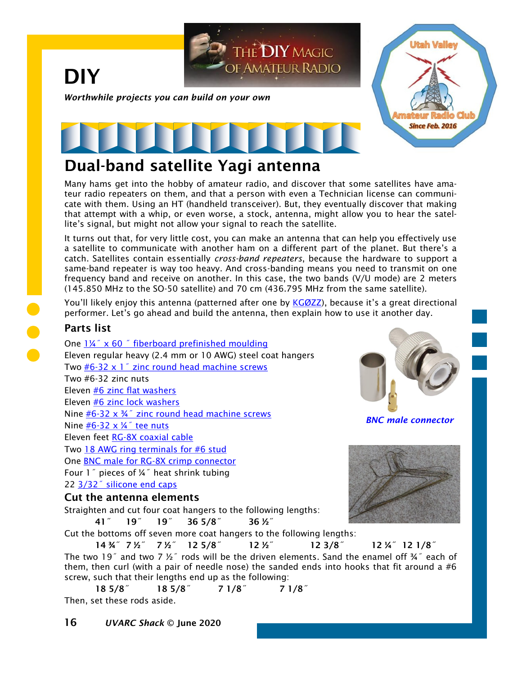

## Dual-band satellite Yagi antenna

Many hams get into the hobby of amateur radio, and discover that some satellites have amateur radio repeaters on them, and that a person with even a Technician license can communicate with them. Using an HT (handheld transceiver). But, they eventually discover that making that attempt with a whip, or even worse, a stock, antenna, might allow you to hear the satellite's signal, but might not allow your signal to reach the satellite.

It turns out that, for very little cost, you can make an antenna that can help you effectively use a satellite to communicate with another ham on a different part of the planet. But there's a catch. Satellites contain essentially *cross-band repeaters*, because the hardware to support a same-band repeater is way too heavy. And cross-banding means you need to transmit on one frequency band and receive on another. In this case, the two bands (V/U mode) are 2 meters (145.850 MHz to the SO-50 satellite) and 70 cm (436.795 MHz from the same satellite).

You'll likely enjoy this antenna (patterned after one by [KGØZZ](http://www.amateurradio.bz/4_dollar_satellite_antenna.html)), because it's a great directional performer. Let's go ahead and build the antenna, then explain how to use it another day.

## Parts list

One [1¼˝ x 60 ˝ fiberboard prefinished moulding](https://www.homedepot.com/p/Woodgrain-Millwork-FE-887-7-16-in-x-1-1-4-in-Prefinished-MDF-Stop-Moulding-FE887-E6096C/206056455) Eleven regular heavy (2.4 mm or 10 AWG) steel coat hangers Two  $#6-32 \times 1$ " zinc round head machine screws Two #6-32 zinc nuts Eleven [#6 zinc flat washers](https://www.homedepot.com/p/Everbilt-6-Zinc-Flat-Washer-100-Pack-800422/204276403) Eleven [#6 zinc lock washers](https://www.homedepot.com/p/Everbilt-6-Zinc-Plated-Lock-Washer-30-Pack-802541/204276512) Nine  $#6-32 \times 34$ " zinc round head machine screws Nine  $#6-32 \times 4$  tee nuts Eleven feet [RG-8X coaxial cable](https://smile.amazon.com/CablesOnline-2-Pack-50-ohm-Antenna-R-U006-2/dp/B081MW61GR/) Two [18 AWG ring terminals for #6 stud](https://www.homedepot.com/p/NSi-Industries-22-18-AWG-Vinyl-Insulated-Ring-Terminal-6-Stud-Red-100-Pack-R22-6V/306858982) One [BNC male for RG-8X crimp connector](https://smile.amazon.com/Straight-Coaxial-Adapter-Connector-Eifagur/dp/B07Z8XFY54/) Four 1˝ pieces of ¼˝ heat shrink tubing

22 3/32<sup>"</sup> silicone end caps

#### Cut the antenna elements

Straighten and cut four coat hangers to the following lengths:

41˝ 19˝ 19˝ 36 5/8˝ 36 ½˝



*BNC male connector*



Cut the bottoms off seven more coat hangers to the following lengths:

14 ¾˝ 7 ½˝ 7 ½˝ 12 5/8˝ 12 ½˝ 12 3/8˝ 12 ¼˝ 12 1/8˝ The two 19<sup> $\degree$ </sup> and two 7  $\frac{1}{2}$  rods will be the driven elements. Sand the enamel off  $\frac{1}{2}$  each of them, then curl (with a pair of needle nose) the sanded ends into hooks that fit around a  $#6$ screw, such that their lengths end up as the following:

18 5/8˝ 18 5/8˝ 7 1/8˝ 7 1/8˝ Then, set these rods aside.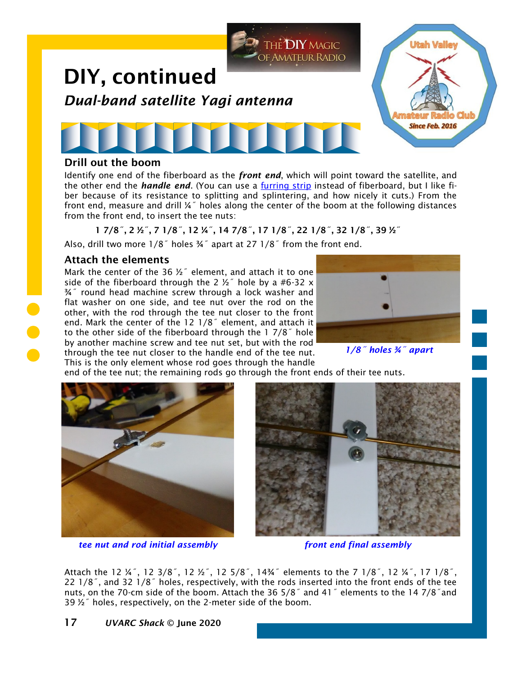

Identify one end of the fiberboard as the *front end*, which will point toward the satellite, and the other end the *handle end*. (You can use a [furring strip](https://www.homedepot.com/p/1-in-x-2-in-x-8-ft-Furring-Strip-Board-160954/100009348) instead of fiberboard, but I like fiber because of its resistance to splitting and splintering, and how nicely it cuts.) From the front end, measure and drill  $\frac{1}{4}$ " holes along the center of the boom at the following distances from the front end, to insert the tee nuts:

1 7/8˝, 2 ½˝, 7 1/8˝, 12 ¼˝, 14 7/8˝, 17 1/8˝, 22 1/8˝, 32 1/8˝, 39 ½˝

Also, drill two more 1/8˝ holes ¾˝ apart at 27 1/8˝ from the front end.

#### Attach the elements

Mark the center of the 36  $\frac{1}{2}$ " element, and attach it to one side of the fiberboard through the 2  $\frac{1}{2}$  hole by a #6-32 x ¾˝ round head machine screw through a lock washer and flat washer on one side, and tee nut over the rod on the other, with the rod through the tee nut closer to the front end. Mark the center of the 12 1/8˝ element, and attach it to the other side of the fiberboard through the 1 7/8˝ hole by another machine screw and tee nut set, but with the rod through the tee nut closer to the handle end of the tee nut. This is the only element whose rod goes through the handle



*1/8˝ holes ¾˝ apart*

end of the tee nut; the remaining rods go through the front ends of their tee nuts.



*tee nut and rod initial assembly front end final assembly*



Attach the 12 ¼˝, 12 3/8˝, 12 ½˝, 12 5/8˝, 14¾˝ elements to the 7 1/8˝, 12 ¼˝, 17 1/8˝, 22 1/8˝, and 32 1/8˝ holes, respectively, with the rods inserted into the front ends of the tee nuts, on the 70-cm side of the boom. Attach the 36 5/8˝ and 41˝ elements to the 14 7/8˝and 39  $\frac{1}{2}$  holes, respectively, on the 2-meter side of the boom.